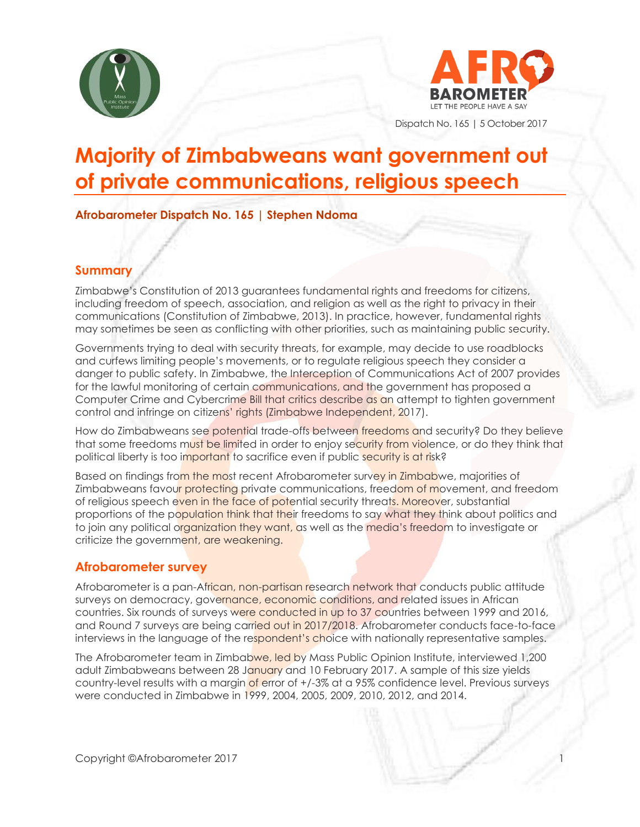



Dispatch No. 165 | 5 October 2017

# **Majority of Zimbabweans want government out of private communications, religious speech**

**Afrobarometer Dispatch No. 165 | Stephen Ndoma**

### **Summary**

Zimbabwe's Constitution of 2013 guarantees fundamental rights and freedoms for citizens, including freedom of speech, association, and religion as well as the right to privacy in their communications (Constitution of Zimbabwe, 2013). In practice, however, fundamental rights may sometimes be seen as conflicting with other priorities, such as maintaining public security.

Governments trying to deal with security threats, for example, may decide to use roadblocks and curfews limiting people's movements, or to regulate religious speech they consider a danger to public safety. In Zimbabwe, the Interception of Communications Act of 2007 provides for the lawful monitoring of certain communications, and the government has proposed a Computer Crime and Cybercrime Bill that critics describe as an attempt to tighten government control and infringe on citizens' rights (Zimbabwe Independent, 2017).

How do Zimbabweans see potential trade-offs between freedoms and security? Do they believe that some freedoms must be limited in order to enjoy security from violence, or do they think that political liberty is too important to sacrifice even if public security is at risk?

Based on findings from the most recent Afrobarometer survey in Zimbabwe, majorities of Zimbabweans favour protecting private communications, freedom of movement, and freedom of religious speech even in the face of potential security threats. Moreover, substantial proportions of the population think that their freedoms to say what they think about politics and to join any political organization they want, as well as the media's freedom to investigate or criticize the government, are weakening.

## **Afrobarometer survey**

Afrobarometer is a pan-African, non-partisan research network that conducts public attitude surveys on democracy, governance, economic conditions, and related issues in African countries. Six rounds of surveys were conducted in up to 37 countries between 1999 and 2016, and Round 7 surveys are being carried out in 2017/2018. Afrobarometer conducts face-to-face interviews in the language of the respondent's choice with nationally representative samples.

The Afrobarometer team in Zimbabwe, led by Mass Public Opinion Institute, interviewed 1,200 adult Zimbabweans between 28 January and 10 February 2017. A sample of this size yields country-level results with a margin of error of  $+/-3\%$  at a 95% confidence level. Previous surveys were conducted in Zimbabwe in 1999, 2004, 2005, 2009, 2010, 2012, and 2014.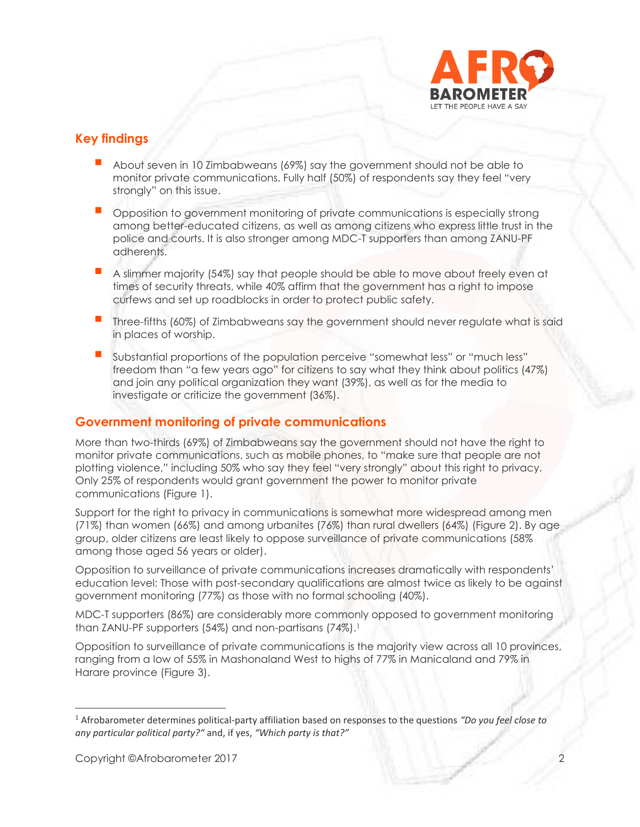

### **Key findings**

- About seven in 10 Zimbabweans (69%) say the government should not be able to monitor private communications. Fully half (50%) of respondents say they feel "very strongly" on this issue.
- **Opposition to government monitoring of private communications is especially strong** among better-educated citizens, as well as among citizens who express little trust in the police and courts. It is also stronger among MDC-T supporters than among ZANU-PF adherents.
- A slimmer majority (54%) say that people should be able to move about freely even at times of security threats, while 40% affirm that the government has a right to impose curfews and set up roadblocks in order to protect public safety.
- **Three-fifths (60%) of Zimbabweans say the government should never regulate what is said** in places of worship.
- Substantial proportions of the population perceive "somewhat less" or "much less" freedom than "a few years ago" for citizens to say what they think about politics (47%) and join any political organization they want (39%), as well as for the media to investigate or criticize the government (36%).

#### **Government monitoring of private communications**

More than two-thirds (69%) of Zimbabweans say the government should not have the right to monitor private communications, such as mobile phones, to "make sure that people are not plotting violence," including 50% who say they feel "very strongly" about this right to privacy. Only 25% of respondents would grant government the power to monitor private communications (Figure 1).

Support for the right to privacy in communications is somewhat more widespread among men (71%) than women (66%) and among urbanites (76%) than rural dwellers (64%) (Figure 2). By age group, older citizens are least likely to oppose surveillance of private communications (58% among those aged 56 years or older).

Opposition to surveillance of private communications increases dramatically with respondents' education level: Those with post-secondary qualifications are almost twice as likely to be against government monitoring (77%) as those with no formal schooling (40%).

MDC-T supporters (86%) are considerably more commonly opposed to government monitoring than ZANU-PF supporters (54%) and non-partisans (74%). 1

Opposition to surveillance of private communications is the majority view across all 10 provinces, ranging from a low of 55% in Mashonaland West to highs of 77% in Manicaland and 79% in Harare province (Figure 3).

<sup>1</sup> Afrobarometer determines political-party affiliation based on responses to the questions *"Do you feel close to any particular political party?"* and, if yes, *"Which party is that?"*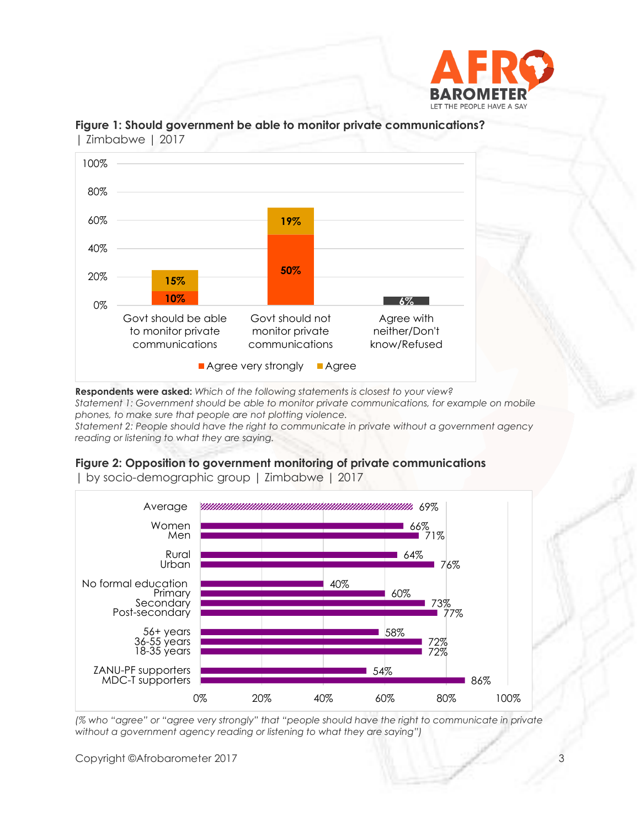



**Figure 1: Should government be able to monitor private communications?**  | Zimbabwe | 2017

**Respondents were asked:** *Which of the following statements is closest to your view?* 

*Statement 1: Government should be able to monitor private communications, for example on mobile phones, to make sure that people are not plotting violence.* 

*Statement 2: People should have the right to communicate in private without a government agency reading or listening to what they are saying.*

#### **Figure 2: Opposition to government monitoring of private communications**



| by socio-demographic group | Zimbabwe | 2017

*(% who "agree" or "agree very strongly" that "people should have the right to communicate in private without a government agency reading or listening to what they are saying")*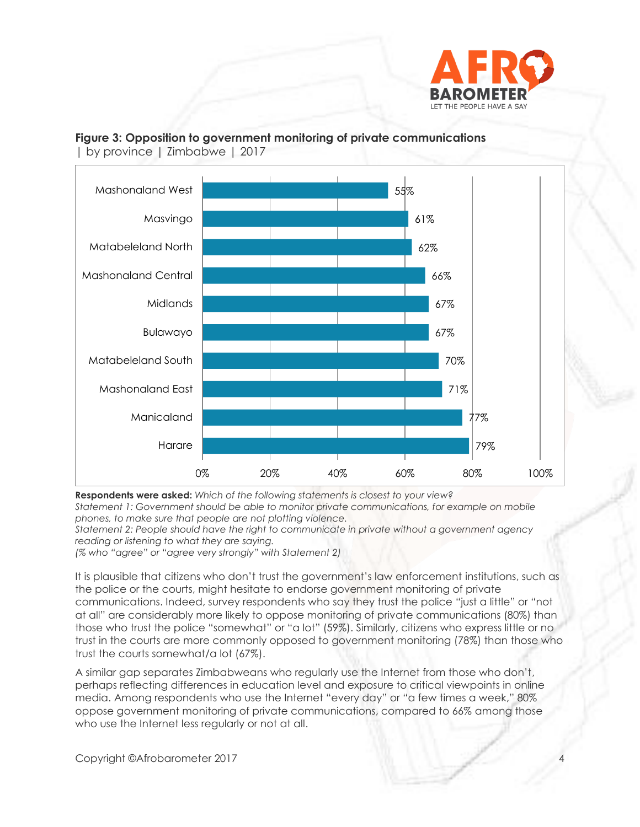

#### **Figure 3: Opposition to government monitoring of private communications**



| by province | Zimbabwe | 2017

**Respondents were asked:** *Which of the following statements is closest to your view? Statement 1: Government should be able to monitor private communications, for example on mobile phones, to make sure that people are not plotting violence.* 

*Statement 2: People should have the right to communicate in private without a government agency reading or listening to what they are saying.*

*(% who "agree" or "agree very strongly" with Statement 2)*

It is plausible that citizens who don't trust the government's law enforcement institutions, such as the police or the courts, might hesitate to endorse government monitoring of private communications. Indeed, survey respondents who say they trust the police "just a little" or "not at all" are considerably more likely to oppose monitoring of private communications (80%) than those who trust the police "somewhat" or "a lot" (59%). Similarly, citizens who express little or no trust in the courts are more commonly opposed to government monitoring (78%) than those who trust the courts somewhat/a lot (67%).

A similar gap separates Zimbabweans who regularly use the Internet from those who don't, perhaps reflecting differences in education level and exposure to critical viewpoints in online media. Among respondents who use the Internet "every day" or "a few times a week," 80% oppose government monitoring of private communications, compared to 66% among those who use the Internet less regularly or not at all.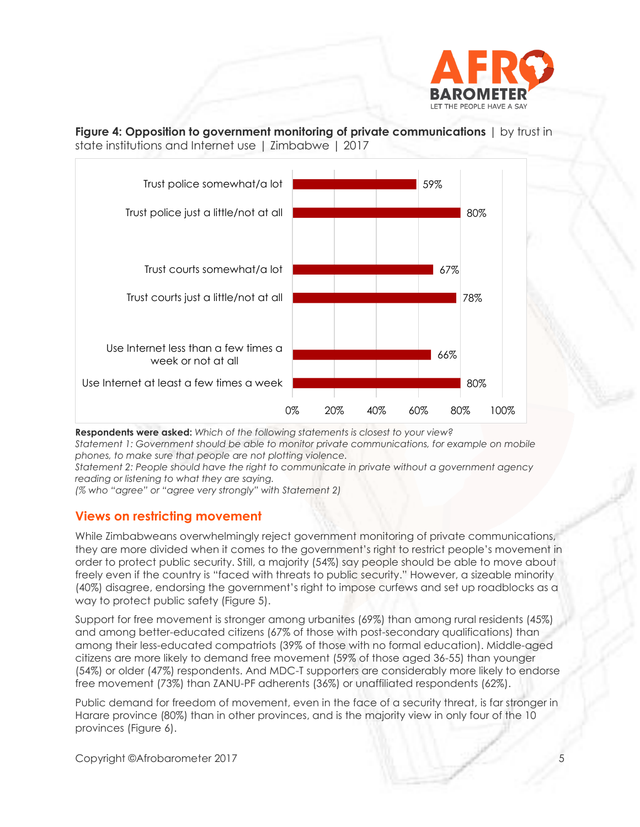

**Figure 4: Opposition to government monitoring of private communications**  $\vert$  by trust in state institutions and Internet use | Zimbabwe | 2017



**Respondents were asked:** *Which of the following statements is closest to your view?* 

*Statement 1: Government should be able to monitor private communications, for example on mobile phones, to make sure that people are not plotting violence.* 

*Statement 2: People should have the right to communicate in private without a government agency reading or listening to what they are saying.*

*(% who "agree" or "agree very strongly" with Statement 2)*

#### **Views on restricting movement**

While Zimbabweans overwhelmingly reject government monitoring of private communications, they are more divided when it comes to the government's right to restrict people's movement in order to protect public security. Still, a majority (54%) say people should be able to move about freely even if the country is "faced with threats to public security." However, a sizeable minority (40%) disagree, endorsing the government's right to impose curfews and set up roadblocks as a way to protect public safety (Figure 5).

Support for free movement is stronger among urbanites (69%) than among rural residents (45%) and among better-educated citizens (67% of those with post-secondary qualifications) than among their less-educated compatriots (39% of those with no formal education). Middle-aged citizens are more likely to demand free movement (59% of those aged 36-55) than younger (54%) or older (47%) respondents. And MDC-T supporters are considerably more likely to endorse free movement (73%) than ZANU-PF adherents (36%) or unaffiliated respondents (62%).

Public demand for freedom of movement, even in the face of a security threat, is far stronger in Harare province (80%) than in other provinces, and is the majority view in only four of the 10 provinces (Figure 6).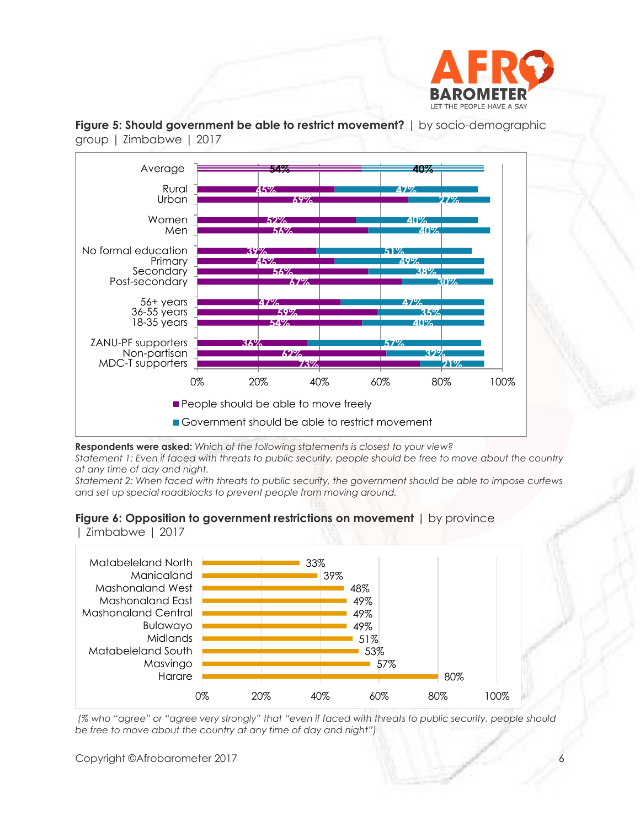





**Respondents were asked:** *Which of the following statements is closest to your view?* 

*Statement 1: Even if faced with threats to public security, people should be free to move about the country at any time of day and night.*

*Statement 2: When faced with threats to public security, the government should be able to impose curfews and set up special roadblocks to prevent people from moving around.* 

#### **Figure 6: Opposition to government restrictions on movement** | by province

| Zimbabwe | 2017



*(% who "agree" or "agree very strongly" that "even if faced with threats to public security, people should be free to move about the country at any time of day and night")*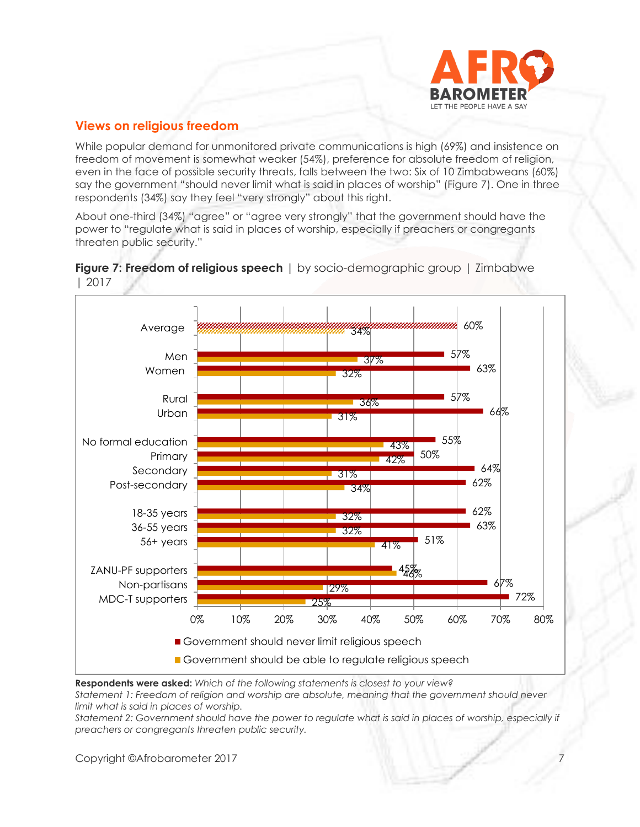

## **Views on religious freedom**

While popular demand for unmonitored private communications is high (69%) and insistence on freedom of movement is somewhat weaker (54%), preference for absolute freedom of religion, even in the face of possible security threats, falls between the two: Six of 10 Zimbabweans (60%) say the government "should never limit what is said in places of worship" (Figure 7). One in three respondents (34%) say they feel "very strongly" about this right.

About one-third (34%) "agree" or "agree very strongly" that the government should have the power to "regulate what is said in places of worship, especially if preachers or congregants threaten public security."



**Figure 7: Freedom of religious speech** | by socio-demographic group | Zimbabwe | 2017

Government should be able to regulate religious speech

25%

0% 10% 20% 30% 40% 50% 60% 70% 80%

**Respondents were asked:** *Which of the following statements is closest to your view? Statement 1: Freedom of religion and worship are absolute, meaning that the government should never limit what is said in places of worship.*

Government should never limit religious speech

Statement 2: Government should have the power to regulate what is said in places of worship, especially if *preachers or congregants threaten public security.*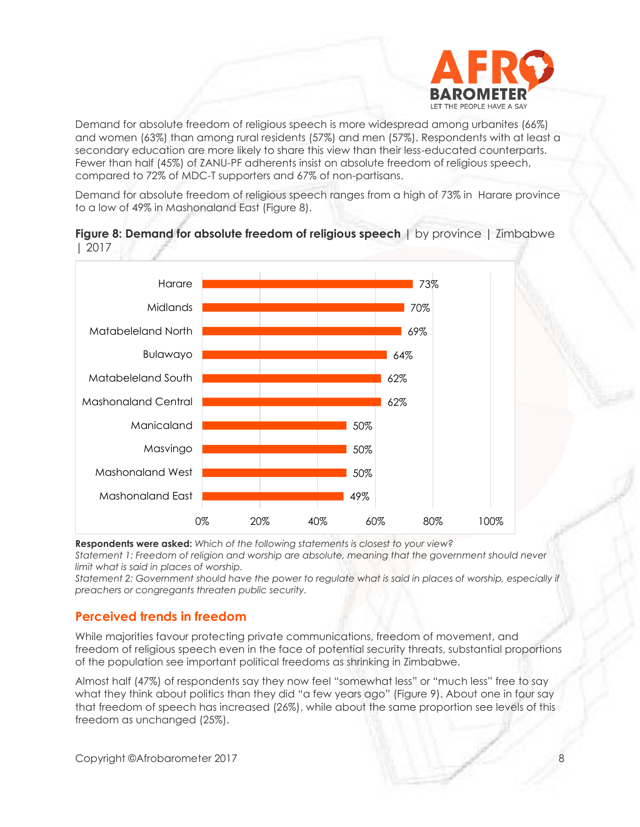

Demand for absolute freedom of religious speech is more widespread among urbanites (66%) and women (63%) than among rural residents (57%) and men (57%). Respondents with at least a secondary education are more likely to share this view than their less-educated counterparts. Fewer than half (45%) of ZANU-PF adherents insist on absolute freedom of religious speech, compared to 72% of MDC-T supporters and 67% of non-partisans.

Demand for absolute freedom of religious speech ranges from a high of 73% in Harare province to a low of 49% in Mashonaland East (Figure 8).



**Figure 8: Demand for absolute freedom of religious speech** | by province | Zimbabwe | 2017

**Respondents were asked:** *Which of the following statements is closest to your view? Statement 1: Freedom of religion and worship are absolute, meaning that the government should never limit what is said in places of worship.*

*Statement 2: Government should have the power to regulate what is said in places of worship, especially if preachers or congregants threaten public security.*

#### **Perceived trends in freedom**

While majorities favour protecting private communications, freedom of movement, and freedom of religious speech even in the face of potential security threats, substantial proportions of the population see important political freedoms as shrinking in Zimbabwe.

Almost half (47%) of respondents say they now feel "somewhat less" or "much less" free to say what they think about politics than they did "a few years ago" (Figure 9). About one in four say that freedom of speech has increased (26%), while about the same proportion see levels of this freedom as unchanged (25%).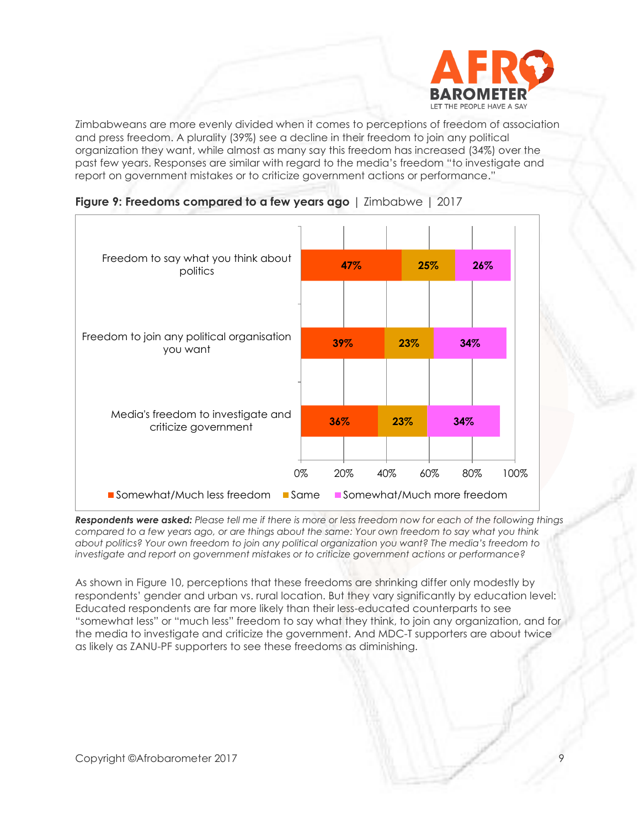

Zimbabweans are more evenly divided when it comes to perceptions of freedom of association and press freedom. A plurality (39%) see a decline in their freedom to join any political organization they want, while almost as many say this freedom has increased (34%) over the past few years. Responses are similar with regard to the media's freedom "to investigate and report on government mistakes or to criticize government actions or performance."





*Respondents were asked: Please tell me if there is more or less freedom now for each of the following things compared to a few years ago, or are things about the same: Your own freedom to say what you think about politics? Your own freedom to join any political organization you want? The media's freedom to investigate and report on government mistakes or to criticize government actions or performance?*

As shown in Figure 10, perceptions that these freedoms are shrinking differ only modestly by respondents' gender and urban vs. rural location. But they vary significantly by education level: Educated respondents are far more likely than their less-educated counterparts to see "somewhat less" or "much less" freedom to say what they think, to join any organization, and for the media to investigate and criticize the government. And MDC-T supporters are about twice as likely as ZANU-PF supporters to see these freedoms as diminishing.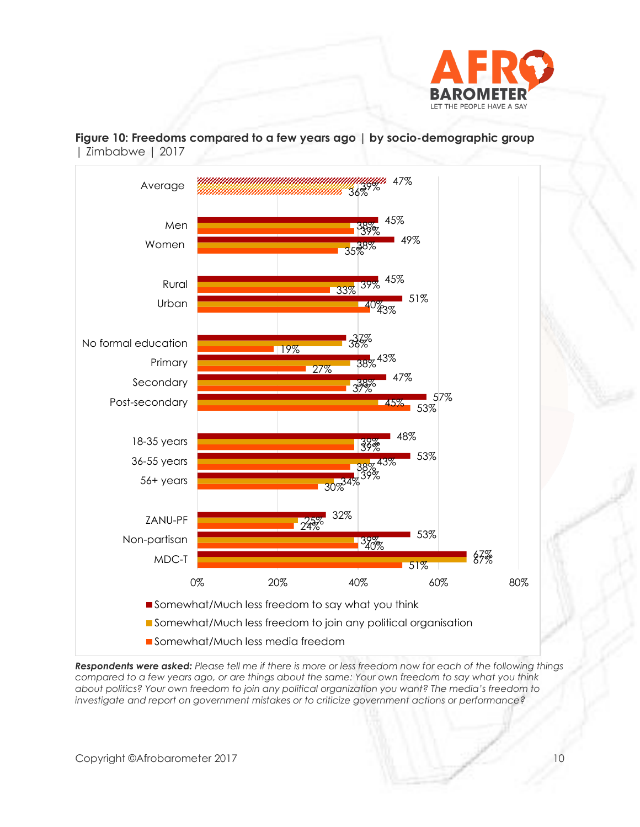

**Figure 10: Freedoms compared to a few years ago | by socio-demographic group**  | Zimbabwe | 2017



*Respondents were asked: Please tell me if there is more or less freedom now for each of the following things compared to a few years ago, or are things about the same: Your own freedom to say what you think about politics? Your own freedom to join any political organization you want? The media's freedom to investigate and report on government mistakes or to criticize government actions or performance?*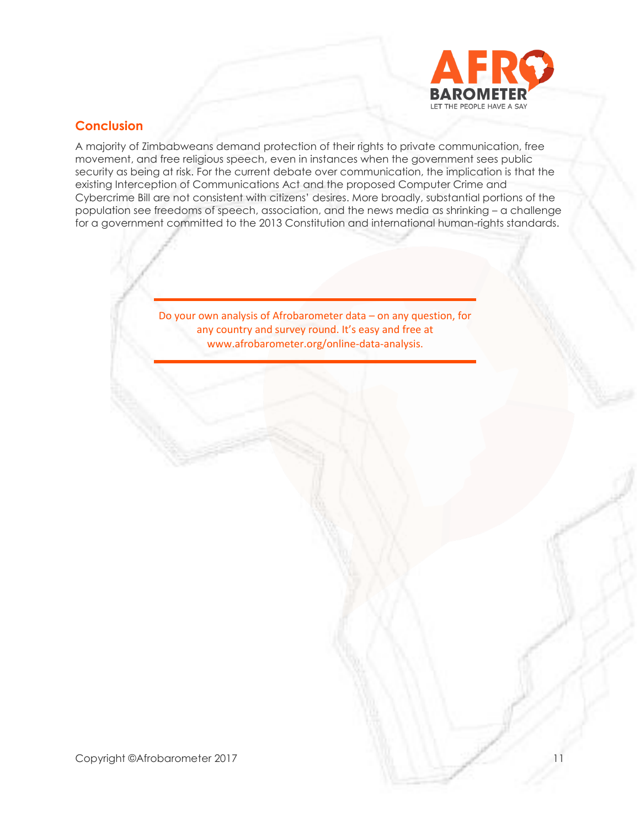

## **Conclusion**

A majority of Zimbabweans demand protection of their rights to private communication, free movement, and free religious speech, even in instances when the government sees public security as being at risk. For the current debate over communication, the implication is that the existing Interception of Communications Act and the proposed Computer Crime and Cybercrime Bill are not consistent with citizens' desires. More broadly, substantial portions of the population see freedoms of speech, association, and the news media as shrinking – a challenge for a government committed to the 2013 Constitution and international human-rights standards.

> Do your own analysis of Afrobarometer data – on any question, for any country and survey round. It's easy and free at www.afrobarometer.org/online-data-analysis.